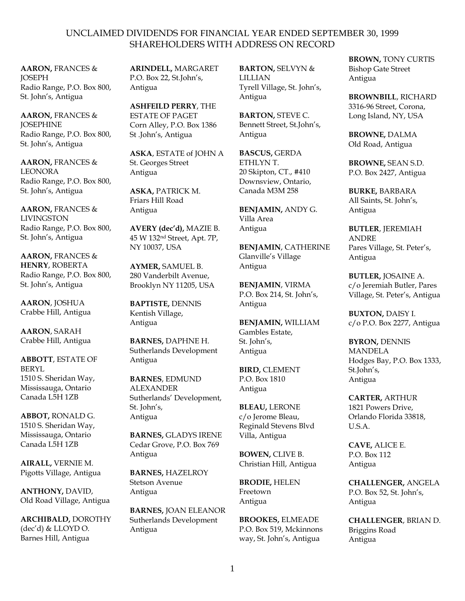**AARON,** FRANCES & **IOSEPH** Radio Range, P.O. Box 800, St. John's, Antigua

**AARON,** FRANCES & **IOSEPHINE** Radio Range, P.O. Box 800, St. John's, Antigua

**AARON,** FRANCES & LEONORA Radio Range, P.O. Box 800, St. John's, Antigua

**AARON,** FRANCES & LIVINGSTON Radio Range, P.O. Box 800, St. John's, Antigua

**AARON,** FRANCES & **HENRY**, ROBERTA Radio Range, P.O. Box 800, St. John's, Antigua

**AARON**, JOSHUA Crabbe Hill, Antigua

**AARON**, SARAH Crabbe Hill, Antigua

**ABBOTT**, ESTATE OF BERYL 1510 S. Sheridan Way, Mississauga, Ontario Canada L5H 1ZB

**ABBOT,** RONALD G. 1510 S. Sheridan Way, Mississauga, Ontario Canada L5H 1ZB

**AIRALL,** VERNIE M. Pigotts Village, Antigua

**ANTHONY,** DAVID, Old Road Village, Antigua

**ARCHIBALD,** DOROTHY (dec'd) & LLOYD O. Barnes Hill, Antigua

**ARINDELL,** MARGARET P.O. Box 22, St.John's, Antigua

**ASHFEILD PERRY**, THE ESTATE OF PAGET Corn Alley, P.O. Box 1386 St .John's, Antigua

**ASKA**, ESTATE of JOHN A St. Georges Street Antigua

**ASKA,** PATRICK M. Friars Hill Road Antigua

**AVERY (dec'd),** MAZIE B. 45 W 132nd Street, Apt. 7P, NY 10037, USA

**AYMER,** SAMUEL B. 280 Vanderbilt Avenue, Brooklyn NY 11205, USA

**BAPTISTE,** DENNIS Kentish Village, Antigua

**BARNES,** DAPHNE H. Sutherlands Development Antigua

**BARNES**, EDMUND ALEXANDER Sutherlands' Development, St. John's, Antigua

**BARNES,** GLADYS IRENE Cedar Grove, P.O. Box 769 Antigua

**BARNES,** HAZELROY Stetson Avenue Antigua

**BARNES,** JOAN ELEANOR Sutherlands Development Antigua

**BARTON,** SELVYN & LILLIAN Tyrell Village, St. John's, Antigua

**BARTON,** STEVE C. Bennett Street, St.John's, Antigua

**BASCUS,** GERDA ETHLYN T. 20 Skipton, CT., #410 Downsview, Ontario, Canada M3M 258

**BENJAMIN,** ANDY G. Villa Area Antigua

**BENJAMIN**, CATHERINE Glanville's Village Antigua

**BENJAMIN**, VIRMA P.O. Box 214, St. John's, Antigua

**BENJAMIN,** WILLIAM Gambles Estate, St. John's, Antigua

**BIRD,** CLEMENT P.O. Box 1810 Antigua

**BLEAU,** LERONE c/o Jerome Bleau, Reginald Stevens Blvd Villa, Antigua

**BOWEN,** CLIVE B. Christian Hill, Antigua

**BRODIE,** HELEN Freetown Antigua

**BROOKES,** ELMEADE P.O. Box 519, Mckinnons way, St. John's, Antigua

**BROWN,** TONY CURTIS Bishop Gate Street Antigua

**BROWNBILL**, RICHARD 3316-96 Street, Corona, Long Island, NY, USA

**BROWNE,** DALMA Old Road, Antigua

**BROWNE,** SEAN S.D. P.O. Box 2427, Antigua

**BURKE,** BARBARA All Saints, St. John's, Antigua

**BUTLER**, JEREMIAH ANDRE Pares Village, St. Peter's, Antigua

**BUTLER,** JOSAINE A. c/o Jeremiah Butler, Pares Village, St. Peter's, Antigua

**BUXTON,** DAISY I. c/o P.O. Box 2277, Antigua

**BYRON,** DENNIS MANDELA Hodges Bay, P.O. Box 1333, St.John's, Antigua

**CARTER,** ARTHUR 1821 Powers Drive, Orlando Florida 33818, U.S.A.

**CAVE,** ALICE E. P.O. Box 112 Antigua

**CHALLENGER,** ANGELA P.O. Box 52, St. John's, Antigua

**CHALLENGER**, BRIAN D. Briggins Road Antigua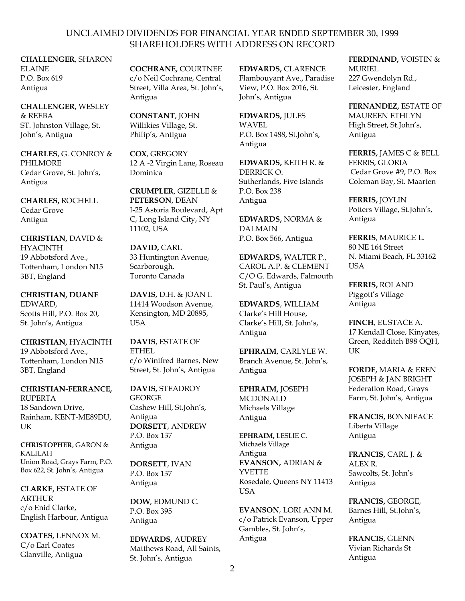**CHALLENGER**, SHARON ELAINE P.O. Box 619 Antigua

**CHALLENGER,** WESLEY & REEBA ST. Johnston Village, St. John's, Antigua

**CHARLES**, G. CONROY & PHILMORE Cedar Grove, St. John's, Antigua

**CHARLES,** ROCHELL Cedar Grove Antigua

**CHRISTIAN,** DAVID & HYACINTH 19 Abbotsford Ave., Tottenham, London N15 3BT, England

**CHRISTIAN, DUANE** EDWARD, Scotts Hill, P.O. Box 20, St. John's, Antigua

**CHRISTIAN,** HYACINTH 19 Abbotsford Ave., Tottenham, London N15 3BT, England

**CHRISTIAN-FERRANCE,** RUPERTA 18 Sandown Drive, Rainham, KENT-ME89DU, UK

**CHRISTOPHER**, GARON & KALILAH Union Road, Grays Farm, P.O. Box 622, St. John's, Antigua

**CLARKE,** ESTATE OF ARTHUR c/o Enid Clarke, English Harbour, Antigua

**COATES,** LENNOX M. C/o Earl Coates Glanville, Antigua

**COCHRANE,** COURTNEE c/o Neil Cochrane, Central Street, Villa Area, St. John's, Antigua

**CONSTANT**, JOHN Willikies Village, St. Philip's, Antigua

**COX**, GREGORY 12 A -2 Virgin Lane, Roseau Dominica

**CRUMPLER**, GIZELLE & **PETERSON**, DEAN I-25 Astoria Boulevard, Apt C, Long Island City, NY 11102, USA

**DAVID,** CARL 33 Huntington Avenue, Scarborough, Toronto Canada

**DAVIS,** D.H. & JOAN I. 11414 Woodson Avenue, Kensington, MD 20895, USA

**DAVIS**, ESTATE OF ETHEL c/o Winifred Barnes, New Street, St. John's, Antigua

**DAVIS,** STEADROY **GEORGE** Cashew Hill, St.John's, Antigua **DORSETT**, ANDREW P.O. Box 137 Antigua

**DORSETT**, IVAN P.O. Box 137 Antigua

**DOW**, EDMUND C. P.O. Box 395 Antigua

**EDWARDS,** AUDREY Matthews Road, All Saints, St. John's, Antigua

**EDWARDS,** CLARENCE Flambouyant Ave., Paradise View, P.O. Box 2016, St. John's, Antigua

**EDWARDS,** JULES WAVEL P.O. Box 1488, St.John's, Antigua

**EDWARDS,** KEITH R. & DERRICK O. Sutherlands, Five Islands P.O. Box 238 Antigua

**EDWARDS,** NORMA & DALMAIN P.O. Box 566, Antigua

**EDWARDS,** WALTER P., CAROL A.P. & CLEMENT C/O G. Edwards, Falmouth St. Paul's, Antigua

**EDWARDS**, WILLIAM Clarke's Hill House, Clarke's Hill, St. John's, Antigua

**EPHRAIM**, CARLYLE W. Branch Avenue, St. John's, Antigua

**EPHRAIM,** JOSEPH MCDONALD Michaels Village Antigua

E**PHRAIM,** LESLIE C. Michaels Village Antigua **EVANSON,** ADRIAN & YVETTE Rosedale, Queens NY 11413 **I** ISA

**EVANSON**, LORI ANN M. c/o Patrick Evanson, Upper Gambles, St. John's, Antigua

**FERDINAND,** VOISTIN & MURIEL. 227 Gwendolyn Rd., Leicester, England

**FERNANDEZ,** ESTATE OF MAUREEN ETHLYN High Street, St.John's, Antigua

**FERRIS,** JAMES C & BELL FERRIS, GLORIA Cedar Grove #9, P.O. Box Coleman Bay, St. Maarten

**FERRIS,** JOYLIN Potters Village, St.John's, Antigua

**FERRIS**, MAURICE L. 80 NE 164 Street N. Miami Beach, FL 33162 USA

**FERRIS,** ROLAND Piggott's Village Antigua

**FINCH**, EUSTACE A. 17 Kendall Close, Kinyates, Green, Redditch B98 OQH, UK

**FORDE,** MARIA & EREN JOSEPH & JAN BRIGHT Federation Road, Grays Farm, St. John's, Antigua

**FRANCIS,** BONNIFACE Liberta Village Antigua

**FRANCIS,** CARL J. & ALEX R. Sawcolts, St. John's Antigua

**FRANCIS,** GEORGE, Barnes Hill, St.John's, Antigua

**FRANCIS,** GLENN Vivian Richards St Antigua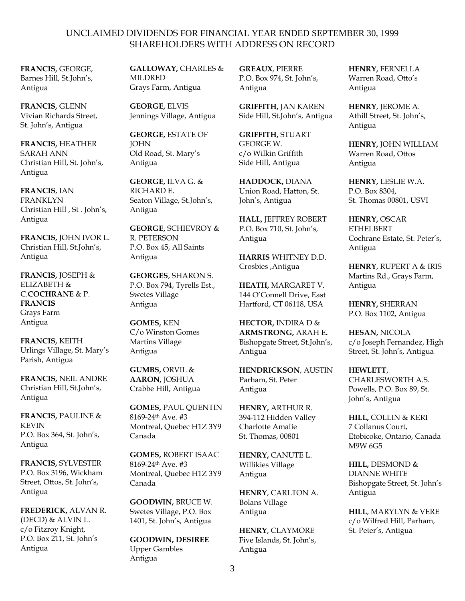**FRANCIS,** GEORGE, Barnes Hill, St.John's, Antigua

**FRANCIS,** GLENN Vivian Richards Street, St. John's, Antigua

**FRANCIS,** HEATHER SARAH ANN Christian Hill, St. John's, Antigua

**FRANCIS**, IAN FRANKLYN Christian Hill , St . John's, Antigua

**FRANCIS,** JOHN IVOR L. Christian Hill, St.John's, Antigua

**FRANCIS,** JOSEPH & ELIZABETH & C.**COCHRANE** & P. **FRANCIS** Grays Farm Antigua

**FRANCIS,** KEITH Urlings Village, St. Mary's Parish, Antigua

**FRANCIS,** NEIL ANDRE Christian Hill, St.John's, Antigua

**FRANCIS,** PAULINE & KEVIN P.O. Box 364, St. John's, Antigua

**FRANCIS,** SYLVESTER P.O. Box 3196, Wickham Street, Ottos, St. John's, Antigua

**FREDERICK,** ALVAN R. (DECD) & ALVIN L. c/o Fitzroy Knight, P.O. Box 211, St. John's Antigua

**GALLOWAY,** CHARLES & MILDRED Grays Farm, Antigua

**GEORGE,** ELVIS Jennings Village, Antigua

**GEORGE,** ESTATE OF **IOHN** Old Road, St. Mary's Antigua

**GEORGE,** ILVA G. & RICHARD E. Seaton Village, St.John's, Antigua

**GEORGE,** SCHIEVROY & R. PETERSON P.O. Box 45, All Saints Antigua

**GEORGES**, SHARON S. P.O. Box 794, Tyrells Est., Swetes Village Antigua

**GOMES,** KEN C/o Winston Gomes Martins Village Antigua

**GUMBS,** ORVIL & **AARON,** JOSHUA Crabbe Hill, Antigua

**GOMES,** PAUL QUENTIN 8169-24th Ave. #3 Montreal, Quebec H1Z 3Y9 Canada

**GOMES,** ROBERT ISAAC 8169-24th Ave. #3 Montreal, Quebec H1Z 3Y9 Canada

**GOODWIN,** BRUCE W. Swetes Village, P.O. Box 1401, St. John's, Antigua

**GOODWIN, DESIREE** Upper Gambles Antigua

**GREAUX**, PIERRE P.O. Box 974, St. John's, Antigua

**GRIFFITH,** JAN KAREN Side Hill, St.John's, Antigua

**GRIFFITH,** STUART GEORGE W. c/o Wilkin Griffith Side Hill, Antigua

**HADDOCK,** DIANA Union Road, Hatton, St. John's, Antigua

**HALL,** JEFFREY ROBERT P.O. Box 710, St. John's, Antigua

**HARRIS** WHITNEY D.D. Crosbies ,Antigua

**HEATH,** MARGARET V. 144 O'Connell Drive, East Hartford, CT 06118, USA

**HECTOR,** INDIRA D & **ARMSTRONG,** ARAH E**.** Bishopgate Street, St.John's, Antigua

**HENDRICKSON**, AUSTIN Parham, St. Peter Antigua

**HENRY,** ARTHUR R. 394-112 Hidden Valley Charlotte Amalie St. Thomas, 00801

**HENRY,** CANUTE L. Willikies Village Antigua

**HENRY**, CARLTON A. Bolans Village Antigua

**HENRY**, CLAYMORE Five Islands, St. John's, Antigua

**HENRY,** FERNELLA Warren Road, Otto's Antigua

**HENRY**, JEROME A. Athill Street, St. John's, Antigua

**HENRY,** JOHN WILLIAM Warren Road, Ottos Antigua

**HENRY,** LESLIE W.A. P.O. Box 8304, St. Thomas 00801, USVI

**HENRY,** OSCAR ETHELBERT Cochrane Estate, St. Peter's, Antigua

**HENRY**, RUPERT A & IRIS Martins Rd., Grays Farm, Antigua

**HENRY,** SHERRAN P.O. Box 1102, Antigua

**HESAN,** NICOLA c/o Joseph Fernandez, High Street, St. John's, Antigua

**HEWLETT**, CHARLESWORTH A.S. Powells, P.O. Box 89, St. John's, Antigua

**HILL,** COLLIN & KERI 7 Collanus Court, Etobicoke, Ontario, Canada M9W 6G5

**HILL,** DESMOND & DIANNE WHITE Bishopgate Street, St. John's Antigua

**HILL**, MARYLYN & VERE c/o Wilfred Hill, Parham, St. Peter's, Antigua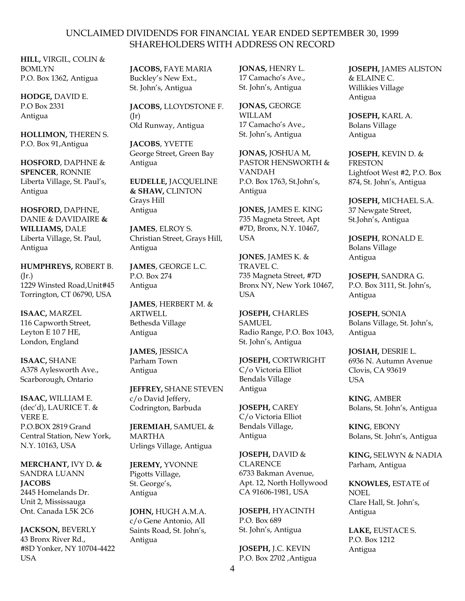**HILL,** VIRGIL, COLIN & BOMLYN P.O. Box 1362, Antigua

**HODGE,** DAVID E. P.O Box 2331 Antigua

**HOLLIMON,** THEREN S. P.O. Box 91,Antigua

**HOSFORD**, DAPHNE & **SPENCER**, RONNIE Liberta Village, St. Paul's, Antigua

**HOSFORD,** DAPHNE, DANIE & DAVIDAIRE **& WILLIAMS,** DALE Liberta Village, St. Paul, Antigua

**HUMPHREYS,** ROBERT B. (Jr.) 1229 Winsted Road,Unit#45 Torrington, CT 06790, USA

**ISAAC,** MARZEL 116 Capworth Street, Leyton E 10 7 HE, London, England

**ISAAC,** SHANE A378 Aylesworth Ave., Scarborough, Ontario

**ISAAC,** WILLIAM E. (dec'd), LAURICE T. & VERE E. P.O.BOX 2819 Grand Central Station, New York, N.Y. 10163, USA

**MERCHANT,** IVY D**. &**  SANDRA LUANN **JACOBS** 2445 Homelands Dr. Unit 2, Mississauga Ont. Canada L5K 2C6

**JACKSON,** BEVERLY 43 Bronx River Rd., #8D Yonker, NY 10704-4422 USA

**JACOBS,** FAYE MARIA Buckley's New Ext., St. John's, Antigua

**JACOBS,** LLOYDSTONE F.  $(Ir)$ Old Runway, Antigua

**JACOBS**, YVETTE George Street, Green Bay Antigua

**EUDELLE,** JACQUELINE **& SHAW,** CLINTON Grays Hill Antigua

**JAMES**, ELROY S. Christian Street, Grays Hill, Antigua

**JAMES**, GEORGE L.C. P.O. Box 274 Antigua

**JAMES**, HERBERT M. & ARTWELL Bethesda Village Antigua

**JAMES,** JESSICA Parham Town Antigua

**JEFFREY,** SHANE STEVEN c/o David Jeffery, Codrington, Barbuda

**JEREMIAH**, SAMUEL & MARTHA Urlings Village, Antigua

**JEREMY,** YVONNE Pigotts Village, St. George's, Antigua

**JOHN,** HUGH A.M.A. c/o Gene Antonio, All Saints Road, St. John's, Antigua

**JONAS,** HENRY L. 17 Camacho's Ave., St. John's, Antigua

**JONAS,** GEORGE WILLAM 17 Camacho's Ave., St. John's, Antigua

**JONAS,** JOSHUA M, PASTOR HENSWORTH & VANDAH P.O. Box 1763, St.John's, Antigua

**JONES,** JAMES E. KING 735 Magneta Street, Apt #7D, Bronx, N.Y. 10467, USA

**JONES**, JAMES K. & TRAVEL C. 735 Magneta Street, #7D Bronx NY, New York 10467, **USA** 

**JOSEPH,** CHARLES **SAMUEL** Radio Range, P.O. Box 1043, St. John's, Antigua

**JOSEPH,** CORTWRIGHT C/o Victoria Elliot Bendals Village Antigua

**JOSEPH,** CAREY C/o Victoria Elliot Bendals Village, Antigua

**JOSEPH,** DAVID & CLARENCE 6733 Bakman Avenue, Apt. 12, North Hollywood CA 91606-1981, USA

**JOSEPH**, HYACINTH P.O. Box 689 St. John's, Antigua

**JOSEPH,** J.C. KEVIN P.O. Box 2702 ,Antigua **JOSEPH,** JAMES ALISTON & ELAINE C. Willikies Village Antigua

**JOSEPH,** KARL A. Bolans Village Antigua

**JOSEPH**, KEVIN D. & **FRESTON** Lightfoot West #2, P.O. Box 874, St. John's, Antigua

**JOSEPH,** MICHAEL S.A. 37 Newgate Street, St.John's, Antigua

**JOSEPH**, RONALD E. Bolans Village Antigua

**JOSEPH**, SANDRA G. P.O. Box 3111, St. John's, Antigua

**JOSEPH**, SONIA Bolans Village, St. John's, Antigua

**JOSIAH,** DESRIE L. 6936 N. Autumn Avenue Clovis, CA 93619 **USA** 

**KING**, AMBER Bolans, St. John's, Antigua

**KING**, EBONY Bolans, St. John's, Antigua

**KING,** SELWYN & NADIA Parham, Antigua

**KNOWLES,** ESTATE of NOEL Clare Hall, St. John's, Antigua

**LAKE,** EUSTACE S. P.O. Box 1212 Antigua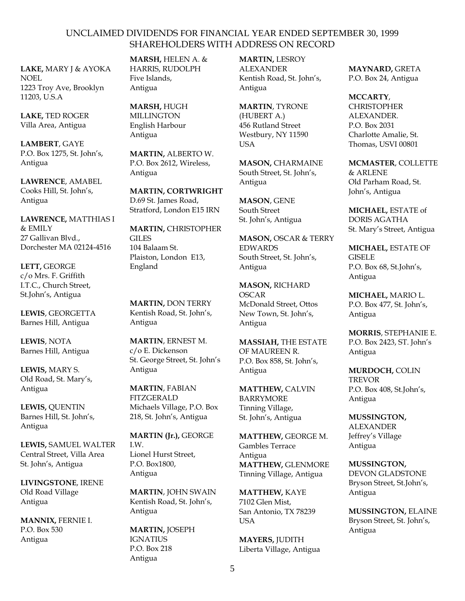**LAKE,** MARY J & AYOKA NOEL 1223 Troy Ave, Brooklyn 11203, U.S.A

**LAKE,** TED ROGER Villa Area, Antigua

**LAMBERT**, GAYE P.O. Box 1275, St. John's, Antigua

**LAWRENCE**, AMABEL Cooks Hill, St. John's, Antigua

**LAWRENCE,** MATTHIAS I & EMILY 27 Gallivan Blvd., Dorchester MA 02124-4516

**LETT,** GEORGE c/o Mrs. F. Griffith I.T.C., Church Street, St.John's, Antigua

**LEWIS**, GEORGETTA Barnes Hill, Antigua

**LEWIS**, NOTA Barnes Hill, Antigua

**LEWIS,** MARY S. Old Road, St. Mary's, Antigua

**LEWIS,** QUENTIN Barnes Hill, St. John's, Antigua

**LEWIS,** SAMUEL WALTER Central Street, Villa Area St. John's, Antigua

**LIVINGSTONE**, IRENE Old Road Village Antigua

**MANNIX,** FERNIE I. P.O. Box 530 Antigua

**MARSH,** HELEN A. & HARRIS, RUDOLPH Five Islands, Antigua

**MARSH,** HUGH MILLINGTON English Harbour Antigua

**MARTIN,** ALBERTO W. P.O. Box 2612, Wireless, Antigua

**MARTIN, CORTWRIGHT** D.69 St. James Road, Stratford, London E15 IRN

**MARTIN,** CHRISTOPHER GILES 104 Balaam St. Plaiston, London E13, England

**MARTIN,** DON TERRY Kentish Road, St. John's, Antigua

**MARTIN**, ERNEST M. c/o E. Dickenson St. George Street, St. John's Antigua

**MARTIN**, FABIAN **FITZGERALD** Michaels Village, P.O. Box 218, St. John's, Antigua

**MARTIN (Jr.),** GEORGE I.W. Lionel Hurst Street, P.O. Box1800, Antigua

**MARTIN**, JOHN SWAIN Kentish Road, St. John's, Antigua

**MARTIN,** JOSEPH **IGNATIUS** P.O. Box 218 Antigua

**MARTIN,** LESROY ALEXANDER Kentish Road, St. John's, Antigua

**MARTIN**, TYRONE (HUBERT A.) 456 Rutland Street Westbury, NY 11590 USA

**MASON,** CHARMAINE South Street, St. John's, Antigua

**MASON**, GENE South Street St. John's, Antigua

**MASON,** OSCAR & TERRY EDWARDS South Street, St. John's, Antigua

**MASON,** RICHARD OSCAR McDonald Street, Ottos New Town, St. John's, Antigua

**MASSIAH,** THE ESTATE OF MAUREEN R. P.O. Box 858, St. John's, Antigua

**MATTHEW,** CALVIN BARRYMORE Tinning Village, St. John's, Antigua

**MATTHEW,** GEORGE M. Gambles Terrace Antigua **MATTHEW,** GLENMORE Tinning Village, Antigua

**MATTHEW,** KAYE 7102 Glen Mist, San Antonio, TX 78239 **USA** 

**MAYERS,** JUDITH Liberta Village, Antigua **MAYNARD,** GRETA P.O. Box 24, Antigua

**MCCARTY**, **CHRISTOPHER** ALEXANDER. P.O. Box 2031 Charlotte Amalie, St. Thomas, USVI 00801

**MCMASTER**, COLLETTE & ARLENE Old Parham Road, St. John's, Antigua

**MICHAEL,** ESTATE of DORIS AGATHA St. Mary's Street, Antigua

**MICHAEL,** ESTATE OF GISELE P.O. Box 68, St.John's, Antigua

**MICHAEL,** MARIO L. P.O. Box 477, St. John's, Antigua

**MORRIS**, STEPHANIE E. P.O. Box 2423, ST. John's Antigua

**MURDOCH,** COLIN TREVOR P.O. Box 408, St.John's, Antigua

**MUSSINGTON,** ALEXANDER Jeffrey's Village Antigua

**MUSSINGTON,** DEVON GLADSTONE Bryson Street, St.John's, Antigua

**MUSSINGTON,** ELAINE Bryson Street, St. John's, Antigua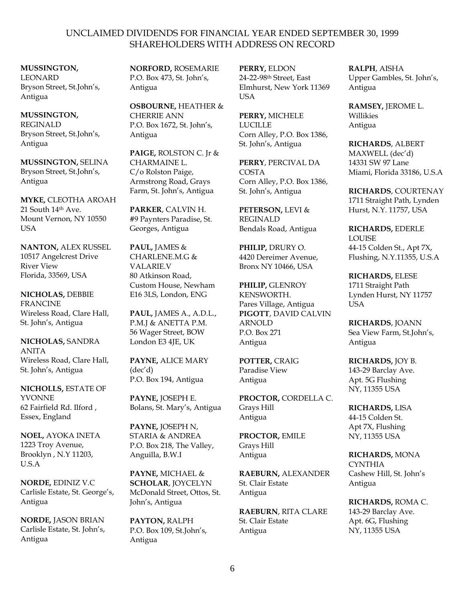### **MUSSINGTON,** LEONARD

Bryson Street, St.John's, Antigua

**MUSSINGTON,**  REGINALD Bryson Street, St.John's, Antigua

**MUSSINGTON,** SELINA Bryson Street, St.John's, Antigua

**MYKE,** CLEOTHA AROAH 21 South 14th Ave. Mount Vernon, NY 10550 USA

**NANTON,** ALEX RUSSEL 10517 Angelcrest Drive River View Florida, 33569, USA

**NICHOLAS,** DEBBIE FRANCINE Wireless Road, Clare Hall, St. John's, Antigua

**NICHOLAS,** SANDRA ANITA Wireless Road, Clare Hall, St. John's, Antigua

**NICHOLLS,** ESTATE OF YVONNE 62 Fairfield Rd. Ilford , Essex, England

**NOEL,** AYOKA INETA 1223 Troy Avenue, Brooklyn , N.Y 11203, U.S.A

**NORDE,** EDINIZ V.C Carlisle Estate, St. George's, Antigua

**NORDE,** JASON BRIAN Carlisle Estate, St. John's, Antigua

**NORFORD,** ROSEMARIE P.O. Box 473, St. John's, Antigua

**OSBOURNE,** HEATHER & CHERRIE ANN P.O. Box 1672, St. John's, Antigua

**PAIGE,** ROLSTON C. Jr & CHARMAINE L. C/o Rolston Paige, Armstrong Road, Grays Farm, St. John's, Antigua

**PARKER**, CALVIN H. #9 Paynters Paradise, St. Georges, Antigua

**PAUL,** JAMES & CHARLENE.M.G & VALARIE.V 80 Atkinson Road, Custom House, Newham E16 3LS, London, ENG

**PAUL,** JAMES A., A.D.L., P.M.J & ANETTA P.M. 56 Wager Street, BOW London E3 4JE, UK

**PAYNE,** ALICE MARY (dec'd) P.O. Box 194, Antigua

**PAYNE,** JOSEPH E. Bolans, St. Mary's, Antigua

**PAYNE,** JOSEPH N, STARIA & ANDREA P.O. Box 218, The Valley, Anguilla, B.W.I

**PAYNE,** MICHAEL & **SCHOLAR**, JOYCELYN McDonald Street, Ottos, St. John's, Antigua

**PAYTON,** RALPH P.O. Box 109, St.John's, Antigua

**PERRY,** ELDON 24-22-98th Street, East Elmhurst, New York 11369 USA

**PERRY,** MICHELE LUCILLE Corn Alley, P.O. Box 1386, St. John's, Antigua

**PERRY**, PERCIVAL DA COSTA Corn Alley, P.O. Box 1386, St. John's, Antigua

**PETERSON,** LEVI & REGINALD Bendals Road, Antigua

**PHILIP,** DRURY O. 4420 Dereimer Avenue, Bronx NY 10466, USA

**PHILIP,** GLENROY KENSWORTH. Pares Village, Antigua **PIGOTT**, DAVID CALVIN ARNOLD P.O. Box 271 Antigua

**POTTER,** CRAIG Paradise View Antigua

**PROCTOR,** CORDELLA C. Grays Hill Antigua

**PROCTOR,** EMILE Grays Hill Antigua

**RAEBURN,** ALEXANDER St. Clair Estate Antigua

**RAEBURN**, RITA CLARE St. Clair Estate Antigua

**RALPH**, AISHA Upper Gambles, St. John's, Antigua

**RAMSEY,** JEROME L. Willikies Antigua

**RICHARDS**, ALBERT MAXWELL (dec'd) 14331 SW 97 Lane Miami, Florida 33186, U.S.A

**RICHARDS**, COURTENAY 1711 Straight Path, Lynden Hurst, N.Y. 11757, USA

**RICHARDS,** EDERLE LOUISE 44-15 Colden St., Apt 7X, Flushing, N.Y.11355, U.S.A

**RICHARDS,** ELESE 1711 Straight Path Lynden Hurst, NY 11757 **USA** 

**RICHARDS**, JOANN Sea View Farm, St.John's, Antigua

**RICHARDS,** JOY B. 143-29 Barclay Ave. Apt. 5G Flushing NY, 11355 USA

**RICHARDS,** LISA 44-15 Colden St. Apt 7X, Flushing NY, 11355 USA

**RICHARDS,** MONA **CYNTHIA** Cashew Hill, St. John's Antigua

**RICHARDS,** ROMA C. 143-29 Barclay Ave. Apt. 6G, Flushing NY, 11355 USA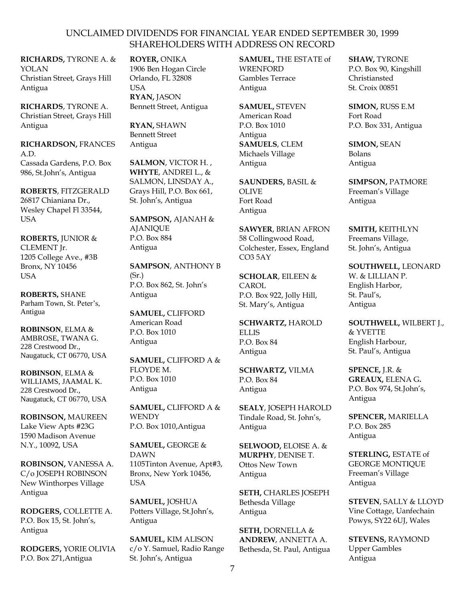**RICHARDS,** TYRONE A. & YOLAN Christian Street, Grays Hill Antigua

**RICHARDS**, TYRONE A. Christian Street, Grays Hill Antigua

**RICHARDSON,** FRANCES A.D. Cassada Gardens, P.O. Box 986, St.John's, Antigua

**ROBERTS**, FITZGERALD 26817 Chianiana Dr., Wesley Chapel Fl 33544, **USA** 

**ROBERTS,** JUNIOR & CLEMENT Jr. 1205 College Ave., #3B Bronx, NY 10456 USA

**ROBERTS,** SHANE Parham Town, St. Peter's, Antigua

**ROBINSON**, ELMA & AMBROSE, TWANA G. 228 Crestwood Dr., Naugatuck, CT 06770, USA

**ROBINSON**, ELMA & WILLIAMS, JAAMAL K. 228 Crestwood Dr., Naugatuck, CT 06770, USA

**ROBINSON,** MAUREEN Lake View Apts #23G 1590 Madison Avenue N.Y., 10092, USA

**ROBINSON,** VANESSA A. C/o JOSEPH ROBINSON New Winthorpes Village Antigua

**RODGERS,** COLLETTE A. P.O. Box 15, St. John's, Antigua

**RODGERS,** YORIE OLIVIA P.O. Box 271,Antigua

**ROYER,** ONIKA 1906 Ben Hogan Circle Orlando, FL 32808 USA **RYAN,** JASON Bennett Street, Antigua

**RYAN,** SHAWN Bennett Street Antigua

**SALMON**, VICTOR H. , **WHYTE**, ANDREI L., & SALMON, LINSDAY A., Grays Hill, P.O. Box 661, St. John's, Antigua

**SAMPSON,** AJANAH & **AJANIQUE** P.O. Box 884 Antigua

**SAMPSON**, ANTHONY B  $(Sr.)$ P.O. Box 862, St. John's Antigua

**SAMUEL,** CLIFFORD American Road P.O. Box 1010 Antigua

**SAMUEL,** CLIFFORD A & FLOYDE M. P.O. Box 1010 Antigua

**SAMUEL,** CLIFFORD A & **WENDY** P.O. Box 1010,Antigua

**SAMUEL,** GEORGE & DAWN 1105Tinton Avenue, Apt#3, Bronx, New York 10456, **USA** 

**SAMUEL,** JOSHUA Potters Village, St.John's, Antigua

**SAMUEL,** KIM ALISON c/o Y. Samuel, Radio Range St. John's, Antigua

**SAMUEL,** THE ESTATE of **WRENFORD** Gambles Terrace Antigua

**SAMUEL,** STEVEN American Road P.O. Box 1010 Antigua **SAMUELS**, CLEM Michaels Village Antigua

**SAUNDERS,** BASIL & OLIVE Fort Road Antigua

**SAWYER**, BRIAN AFRON 58 Collingwood Road, Colchester, Essex, England CO3 5AY

**SCHOLAR**, EILEEN & CAROL P.O. Box 922, Jolly Hill, St. Mary's, Antigua

**SCHWARTZ,** HAROLD **ELLIS** P.O. Box 84 Antigua

**SCHWARTZ,** VILMA P.O. Box 84 Antigua

**SEALY**, JOSEPH HAROLD Tindale Road, St. John's, Antigua

**SELWOOD,** ELOISE A. & **MURPHY**, DENISE T. Ottos New Town Antigua

**SETH,** CHARLES JOSEPH Bethesda Village Antigua

**SETH,** DORNELLA & **ANDREW**, ANNETTA A. Bethesda, St. Paul, Antigua **SHAW,** TYRONE P.O. Box 90, Kingshill Christiansted St. Croix 00851

**SIMON,** RUSS E.M Fort Road P.O. Box 331, Antigua

**SIMON,** SEAN Bolans Antigua

**SIMPSON,** PATMORE Freeman's Village Antigua

**SMITH,** KEITHLYN Freemans Village, St. John's, Antigua

**SOUTHWELL,** LEONARD W. & LILLIAN P. English Harbor, St. Paul's, Antigua

**SOUTHWELL,** WILBERT J., & YVETTE English Harbour, St. Paul's, Antigua

**SPENCE,** J.R. & **GREAUX,** ELENA G**.** P.O. Box 974, St.John's, Antigua

**SPENCER,** MARIELLA P.O. Box 285 Antigua

**STERLING,** ESTATE of GEORGE MONTIQUE Freeman's Village Antigua

**STEVEN**, SALLY & LLOYD Vine Cottage, Uanfechain Powys, SY22 6UJ, Wales

**STEVENS,** RAYMOND Upper Gambles Antigua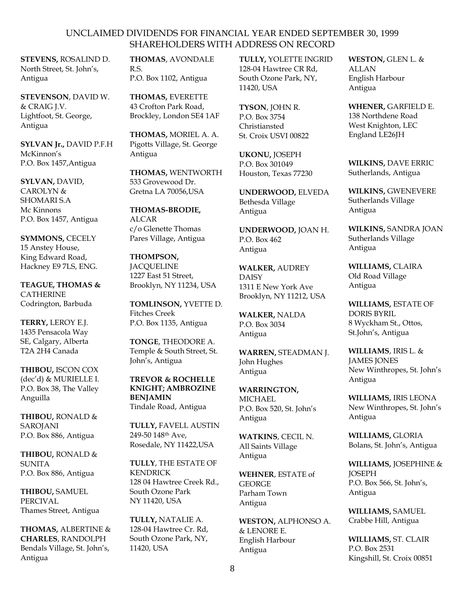**STEVENS,** ROSALIND D. North Street, St. John's, Antigua

**STEVENSON**, DAVID W. & CRAIG J.V. Lightfoot, St. George, Antigua

**SYLVAN Jr.,** DAVID P.F.H McKinnon's P.O. Box 1457,Antigua

**SYLVAN,** DAVID, CAROLYN & SHOMARI S.A Mc Kinnons P.O. Box 1457, Antigua

**SYMMONS,** CECELY 15 Anstey House, King Edward Road, Hackney E9 7LS, ENG.

**TEAGUE, THOMAS &**  CATHERINE Codrington, Barbuda

**TERRY,** LEROY E.J. 1435 Pensacola Way SE, Calgary, Alberta T2A 2H4 Canada

**THIBOU,** ISCON COX (dec'd) & MURIELLE I. P.O. Box 38, The Valley Anguilla

**THIBOU,** RONALD & SAROJANI P.O. Box 886, Antigua

**THIBOU,** RONALD & SUNITA P.O. Box 886, Antigua

**THIBOU,** SAMUEL PERCIVAL Thames Street, Antigua

**THOMAS,** ALBERTINE & **CHARLES**, RANDOLPH Bendals Village, St. John's, Antigua

**THOMAS**, AVONDALE R.S. P.O. Box 1102, Antigua

**THOMAS,** EVERETTE 43 Crofton Park Road, Brockley, London SE4 1AF

**THOMAS,** MORIEL A. A. Pigotts Village, St. George Antigua

**THOMAS,** WENTWORTH 533 Grovewood Dr. Gretna LA 70056,USA

**THOMAS-BRODIE,**  ALCAR c/o Glenette Thomas Pares Village, Antigua

**THOMPSON, JACOUELINE** 1227 East 51 Street, Brooklyn, NY 11234, USA

**TOMLINSON,** YVETTE D. Fitches Creek P.O. Box 1135, Antigua

**TONGE**, THEODORE A. Temple & South Street, St. John's, Antigua

**TREVOR & ROCHELLE KNIGHT; AMBROZINE BENJAMIN** Tindale Road, Antigua

**TULLY,** FAVELL AUSTIN 249-50 148th Ave, Rosedale, NY 11422,USA

**TULLY**, THE ESTATE OF KENDRICK 128 04 Hawtree Creek Rd., South Ozone Park NY 11420, USA

**TULLY,** NATALIE A. 128-04 Hawtree Cr. Rd, South Ozone Park, NY, 11420, USA

**TULLY,** YOLETTE INGRID 128-04 Hawtree CR Rd, South Ozone Park, NY, 11420, USA

**TYSON**, JOHN R. P.O. Box 3754 Christiansted St. Croix USVI 00822

**UKONU,** JOSEPH P.O. Box 301049 Houston, Texas 77230

**UNDERWOOD,** ELVEDA Bethesda Village Antigua

**UNDERWOOD,** JOAN H. P.O. Box 462 Antigua

**WALKER,** AUDREY DAISY 1311 E New York Ave Brooklyn, NY 11212, USA

**WALKER,** NALDA P.O. Box 3034 Antigua

**WARREN,** STEADMAN J. John Hughes Antigua

**WARRINGTON,**  MICHAEL P.O. Box 520, St. John's Antigua

**WATKINS**, CECIL N. All Saints Village Antigua

**WEHNER**, ESTATE of **GEORGE** Parham Town Antigua

**WESTON,** ALPHONSO A. & LENORE E. English Harbour Antigua

**WESTON,** GLEN L. & ALLAN English Harbour Antigua

**WHENER,** GARFIELD E. 138 Northdene Road West Knighton, LEC England LE26JH

**WILKINS,** DAVE ERRIC Sutherlands, Antigua

**WILKINS,** GWENEVERE Sutherlands Village Antigua

**WILKINS,** SANDRA JOAN Sutherlands Village Antigua

**WILLIAMS,** CLAIRA Old Road Village Antigua

**WILLIAMS,** ESTATE OF DORIS BYRIL 8 Wyckham St., Ottos, St.John's, Antigua

**WILLIAMS**, IRIS L. & JAMES JONES New Winthropes, St. John's Antigua

**WILLIAMS,** IRIS LEONA New Winthropes, St. John's Antigua

**WILLIAMS,** GLORIA Bolans, St. John's, Antigua

**WILLIAMS,** JOSEPHINE & **IOSEPH** P.O. Box 566, St. John's, Antigua

**WILLIAMS,** SAMUEL Crabbe Hill, Antigua

**WILLIAMS,** ST. CLAIR P.O. Box 2531 Kingshill, St. Croix 00851